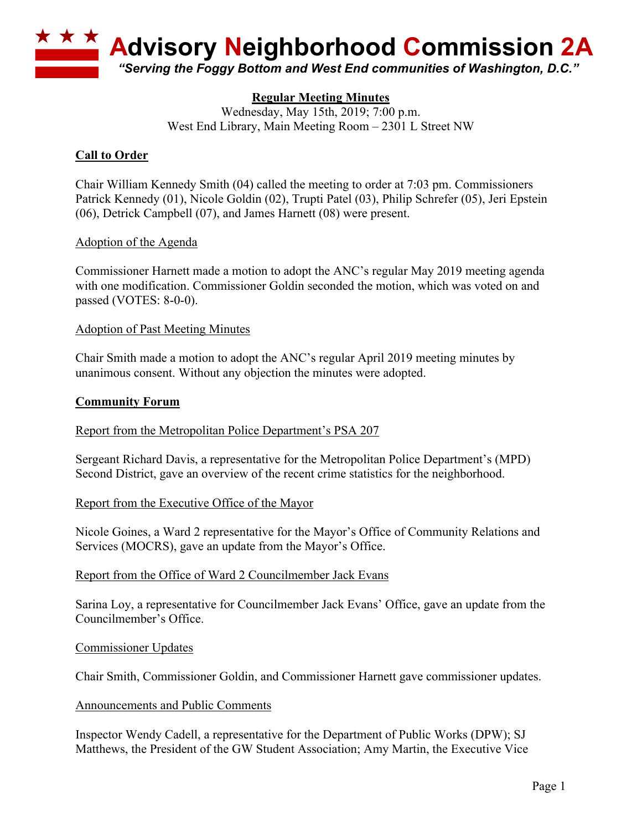

# **Regular Meeting Minutes**

Wednesday, May 15th, 2019; 7:00 p.m. West End Library, Main Meeting Room – 2301 L Street NW

# **Call to Order**

Chair William Kennedy Smith (04) called the meeting to order at 7:03 pm. Commissioners Patrick Kennedy (01), Nicole Goldin (02), Trupti Patel (03), Philip Schrefer (05), Jeri Epstein (06), Detrick Campbell (07), and James Harnett (08) were present.

## Adoption of the Agenda

Commissioner Harnett made a motion to adopt the ANC's regular May 2019 meeting agenda with one modification. Commissioner Goldin seconded the motion, which was voted on and passed (VOTES: 8-0-0).

## Adoption of Past Meeting Minutes

Chair Smith made a motion to adopt the ANC's regular April 2019 meeting minutes by unanimous consent. Without any objection the minutes were adopted.

## **Community Forum**

Report from the Metropolitan Police Department's PSA 207

Sergeant Richard Davis, a representative for the Metropolitan Police Department's (MPD) Second District, gave an overview of the recent crime statistics for the neighborhood.

### Report from the Executive Office of the Mayor

Nicole Goines, a Ward 2 representative for the Mayor's Office of Community Relations and Services (MOCRS), gave an update from the Mayor's Office.

### Report from the Office of Ward 2 Councilmember Jack Evans

Sarina Loy, a representative for Councilmember Jack Evans' Office, gave an update from the Councilmember's Office.

### Commissioner Updates

Chair Smith, Commissioner Goldin, and Commissioner Harnett gave commissioner updates.

### Announcements and Public Comments

Inspector Wendy Cadell, a representative for the Department of Public Works (DPW); SJ Matthews, the President of the GW Student Association; Amy Martin, the Executive Vice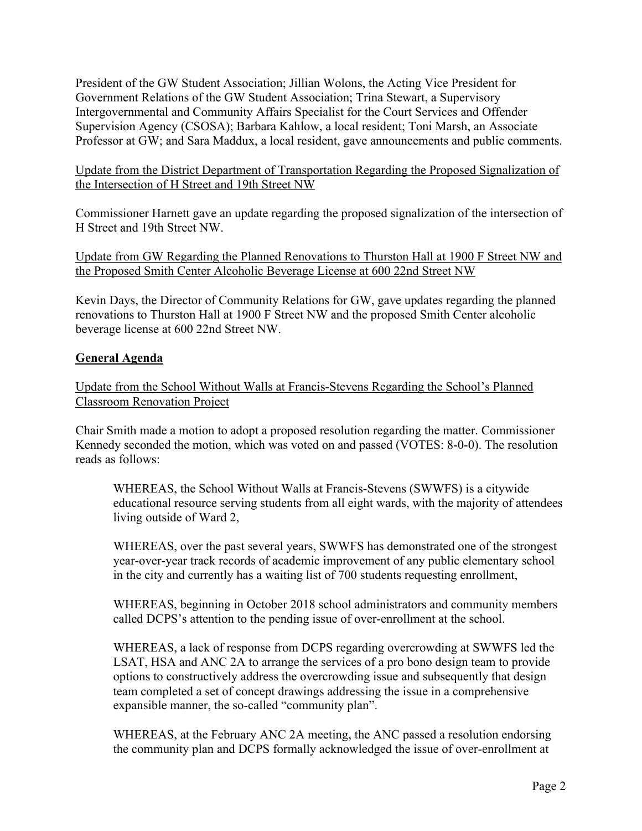President of the GW Student Association; Jillian Wolons, the Acting Vice President for Government Relations of the GW Student Association; Trina Stewart, a Supervisory Intergovernmental and Community Affairs Specialist for the Court Services and Offender Supervision Agency (CSOSA); Barbara Kahlow, a local resident; Toni Marsh, an Associate Professor at GW; and Sara Maddux, a local resident, gave announcements and public comments.

## Update from the District Department of Transportation Regarding the Proposed Signalization of the Intersection of H Street and 19th Street NW

Commissioner Harnett gave an update regarding the proposed signalization of the intersection of H Street and 19th Street NW.

Update from GW Regarding the Planned Renovations to Thurston Hall at 1900 F Street NW and the Proposed Smith Center Alcoholic Beverage License at 600 22nd Street NW

Kevin Days, the Director of Community Relations for GW, gave updates regarding the planned renovations to Thurston Hall at 1900 F Street NW and the proposed Smith Center alcoholic beverage license at 600 22nd Street NW.

# **General Agenda**

Update from the School Without Walls at Francis-Stevens Regarding the School's Planned Classroom Renovation Project

Chair Smith made a motion to adopt a proposed resolution regarding the matter. Commissioner Kennedy seconded the motion, which was voted on and passed (VOTES: 8-0-0). The resolution reads as follows:

WHEREAS, the School Without Walls at Francis-Stevens (SWWFS) is a citywide educational resource serving students from all eight wards, with the majority of attendees living outside of Ward 2,

WHEREAS, over the past several years, SWWFS has demonstrated one of the strongest year-over-year track records of academic improvement of any public elementary school in the city and currently has a waiting list of 700 students requesting enrollment,

WHEREAS, beginning in October 2018 school administrators and community members called DCPS's attention to the pending issue of over-enrollment at the school.

WHEREAS, a lack of response from DCPS regarding overcrowding at SWWFS led the LSAT, HSA and ANC 2A to arrange the services of a pro bono design team to provide options to constructively address the overcrowding issue and subsequently that design team completed a set of concept drawings addressing the issue in a comprehensive expansible manner, the so-called "community plan".

WHEREAS, at the February ANC 2A meeting, the ANC passed a resolution endorsing the community plan and DCPS formally acknowledged the issue of over-enrollment at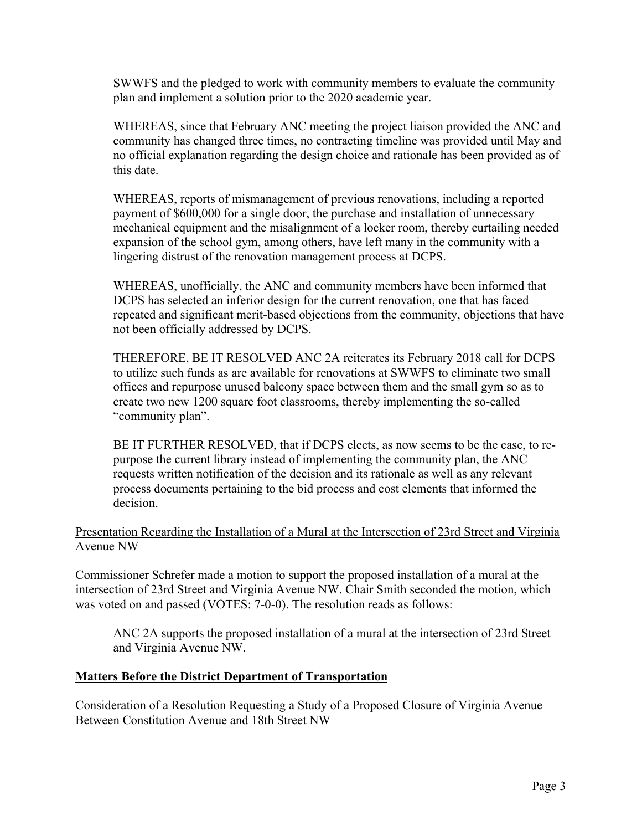SWWFS and the pledged to work with community members to evaluate the community plan and implement a solution prior to the 2020 academic year.

WHEREAS, since that February ANC meeting the project liaison provided the ANC and community has changed three times, no contracting timeline was provided until May and no official explanation regarding the design choice and rationale has been provided as of this date.

WHEREAS, reports of mismanagement of previous renovations, including a reported payment of \$600,000 for a single door, the purchase and installation of unnecessary mechanical equipment and the misalignment of a locker room, thereby curtailing needed expansion of the school gym, among others, have left many in the community with a lingering distrust of the renovation management process at DCPS.

WHEREAS, unofficially, the ANC and community members have been informed that DCPS has selected an inferior design for the current renovation, one that has faced repeated and significant merit-based objections from the community, objections that have not been officially addressed by DCPS.

THEREFORE, BE IT RESOLVED ANC 2A reiterates its February 2018 call for DCPS to utilize such funds as are available for renovations at SWWFS to eliminate two small offices and repurpose unused balcony space between them and the small gym so as to create two new 1200 square foot classrooms, thereby implementing the so-called "community plan".

BE IT FURTHER RESOLVED, that if DCPS elects, as now seems to be the case, to repurpose the current library instead of implementing the community plan, the ANC requests written notification of the decision and its rationale as well as any relevant process documents pertaining to the bid process and cost elements that informed the decision.

# Presentation Regarding the Installation of a Mural at the Intersection of 23rd Street and Virginia Avenue NW

Commissioner Schrefer made a motion to support the proposed installation of a mural at the intersection of 23rd Street and Virginia Avenue NW. Chair Smith seconded the motion, which was voted on and passed (VOTES: 7-0-0). The resolution reads as follows:

ANC 2A supports the proposed installation of a mural at the intersection of 23rd Street and Virginia Avenue NW.

### **Matters Before the District Department of Transportation**

Consideration of a Resolution Requesting a Study of a Proposed Closure of Virginia Avenue Between Constitution Avenue and 18th Street NW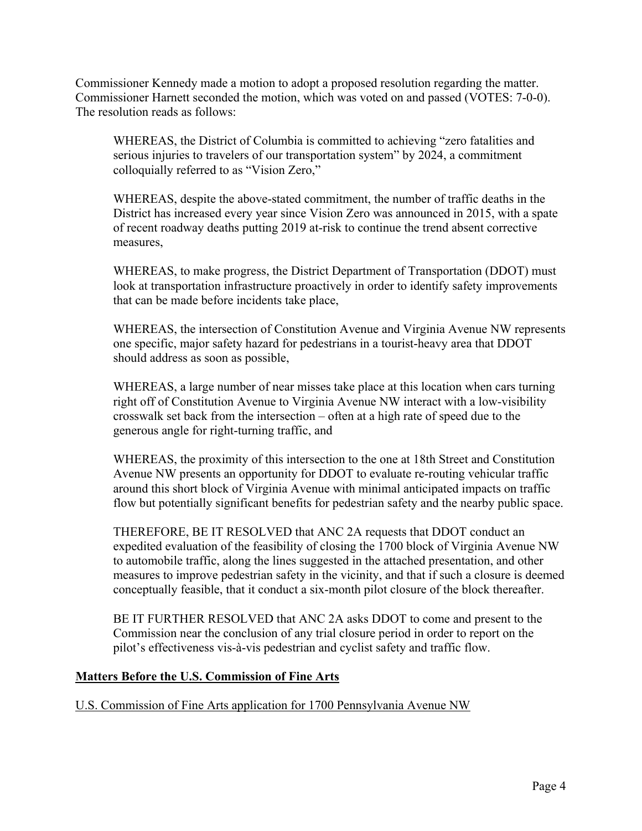Commissioner Kennedy made a motion to adopt a proposed resolution regarding the matter. Commissioner Harnett seconded the motion, which was voted on and passed (VOTES: 7-0-0). The resolution reads as follows:

WHEREAS, the District of Columbia is committed to achieving "zero fatalities and serious injuries to travelers of our transportation system" by 2024, a commitment colloquially referred to as "Vision Zero,"

WHEREAS, despite the above-stated commitment, the number of traffic deaths in the District has increased every year since Vision Zero was announced in 2015, with a spate of recent roadway deaths putting 2019 at-risk to continue the trend absent corrective measures,

WHEREAS, to make progress, the District Department of Transportation (DDOT) must look at transportation infrastructure proactively in order to identify safety improvements that can be made before incidents take place,

WHEREAS, the intersection of Constitution Avenue and Virginia Avenue NW represents one specific, major safety hazard for pedestrians in a tourist-heavy area that DDOT should address as soon as possible,

WHEREAS, a large number of near misses take place at this location when cars turning right off of Constitution Avenue to Virginia Avenue NW interact with a low-visibility crosswalk set back from the intersection – often at a high rate of speed due to the generous angle for right-turning traffic, and

WHEREAS, the proximity of this intersection to the one at 18th Street and Constitution Avenue NW presents an opportunity for DDOT to evaluate re-routing vehicular traffic around this short block of Virginia Avenue with minimal anticipated impacts on traffic flow but potentially significant benefits for pedestrian safety and the nearby public space.

THEREFORE, BE IT RESOLVED that ANC 2A requests that DDOT conduct an expedited evaluation of the feasibility of closing the 1700 block of Virginia Avenue NW to automobile traffic, along the lines suggested in the attached presentation, and other measures to improve pedestrian safety in the vicinity, and that if such a closure is deemed conceptually feasible, that it conduct a six-month pilot closure of the block thereafter.

BE IT FURTHER RESOLVED that ANC 2A asks DDOT to come and present to the Commission near the conclusion of any trial closure period in order to report on the pilot's effectiveness vis-à-vis pedestrian and cyclist safety and traffic flow.

# **Matters Before the U.S. Commission of Fine Arts**

U.S. Commission of Fine Arts application for 1700 Pennsylvania Avenue NW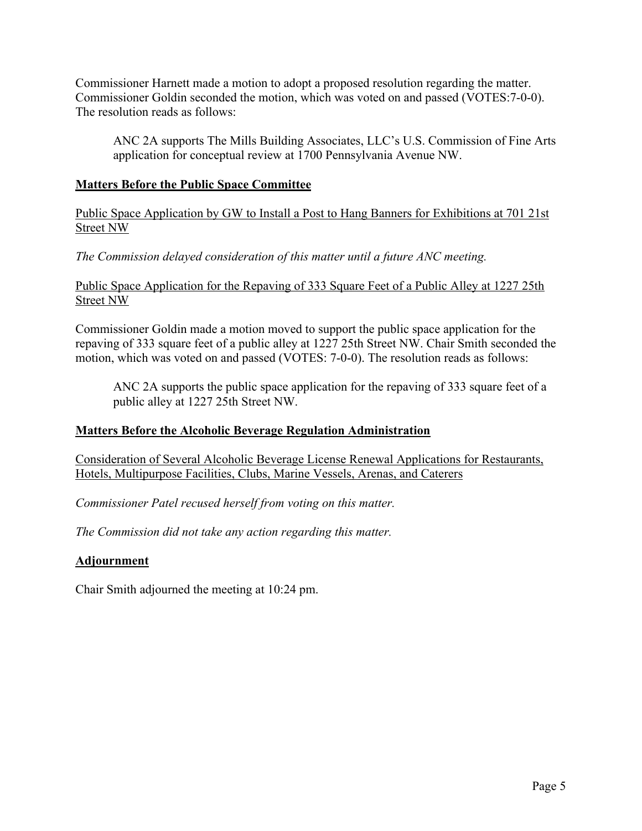Commissioner Harnett made a motion to adopt a proposed resolution regarding the matter. Commissioner Goldin seconded the motion, which was voted on and passed (VOTES:7-0-0). The resolution reads as follows:

ANC 2A supports The Mills Building Associates, LLC's U.S. Commission of Fine Arts application for conceptual review at 1700 Pennsylvania Avenue NW.

## **Matters Before the Public Space Committee**

Public Space Application by GW to Install a Post to Hang Banners for Exhibitions at 701 21st Street NW

*The Commission delayed consideration of this matter until a future ANC meeting.*

## Public Space Application for the Repaving of 333 Square Feet of a Public Alley at 1227 25th Street NW

Commissioner Goldin made a motion moved to support the public space application for the repaving of 333 square feet of a public alley at 1227 25th Street NW. Chair Smith seconded the motion, which was voted on and passed (VOTES: 7-0-0). The resolution reads as follows:

ANC 2A supports the public space application for the repaving of 333 square feet of a public alley at 1227 25th Street NW.

# **Matters Before the Alcoholic Beverage Regulation Administration**

Consideration of Several Alcoholic Beverage License Renewal Applications for Restaurants, Hotels, Multipurpose Facilities, Clubs, Marine Vessels, Arenas, and Caterers

*Commissioner Patel recused herself from voting on this matter.*

*The Commission did not take any action regarding this matter.*

# **Adjournment**

Chair Smith adjourned the meeting at 10:24 pm.